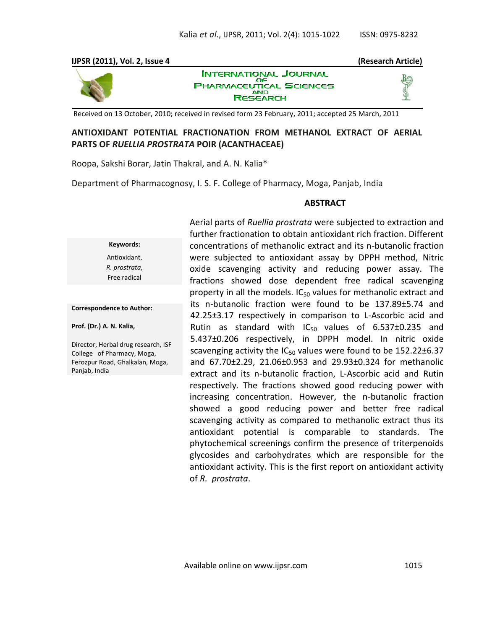# **IJPSR (2011), Vol. 2, Issue 4 (Research Article) INTERNATIONAL JOURNAL**



OF **PHARMACEUTICAL SCIENCES AND RESEARCH** 

Received on 13 October, 2010; received in revised form 23 February, 2011; accepted 25 March, 2011

# **ANTIOXIDANT POTENTIAL FRACTIONATION FROM METHANOL EXTRACT OF AERIAL PARTS OF** *RUELLIA PROSTRATA* **POIR (ACANTHACEAE)**

Roopa, Sakshi Borar, Jatin Thakral, and A. N. Kalia\*

Department of Pharmacognosy, I. S. F. College of Pharmacy, Moga, Panjab, India

### **ABSTRACT**

**Keywords:** Antioxidant, *R. prostrata*, Free radical

#### **Correspondence to Author:**

**Prof. (Dr.) A. N. Kalia,** 

Director, Herbal drug research, ISF College of Pharmacy, Moga, Ferozpur Road, Ghalkalan, Moga, Panjab, India

Aerial parts of *Ruellia prostrata* were subjected to extraction and further fractionation to obtain antioxidant rich fraction. Different concentrations of methanolic extract and its n-butanolic fraction were subjected to antioxidant assay by DPPH method, Nitric oxide scavenging activity and reducing power assay. The fractions showed dose dependent free radical scavenging property in all the models.  $IC_{50}$  values for methanolic extract and its n-butanolic fraction were found to be 137.89±5.74 and 42.25±3.17 respectively in comparison to L-Ascorbic acid and Rutin as standard with  $IC_{50}$  values of 6.537 $\pm$ 0.235 and 5.437±0.206 respectively, in DPPH model. In nitric oxide scavenging activity the  $IC_{50}$  values were found to be  $152.22 \pm 6.37$ and 67.70±2.29, 21.06±0.953 and 29.93±0.324 for methanolic extract and its n-butanolic fraction, L-Ascorbic acid and Rutin respectively. The fractions showed good reducing power with increasing concentration. However, the n-butanolic fraction showed a good reducing power and better free radical scavenging activity as compared to methanolic extract thus its antioxidant potential is comparable to standards. The phytochemical screenings confirm the presence of triterpenoids glycosides and carbohydrates which are responsible for the antioxidant activity. This is the first report on antioxidant activity of *R. prostrata*.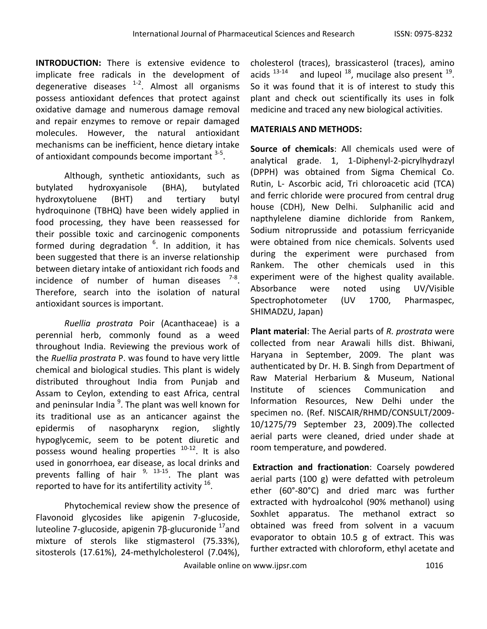**INTRODUCTION:** There is extensive evidence to implicate free radicals in the development of degenerative diseases <sup>1-2</sup>. Almost all organisms possess antioxidant defences that protect against oxidative damage and numerous damage removal and repair enzymes to remove or repair damaged molecules. However, the natural antioxidant mechanisms can be inefficient, hence dietary intake of antioxidant compounds become important <sup>3-5</sup>.

Although, synthetic antioxidants, such as butylated hydroxyanisole (BHA), butylated hydroxytoluene (BHT) and tertiary butyl hydroquinone (TBHQ) have been widely applied in food processing, they have been reassessed for their possible toxic and carcinogenic components formed during degradation <sup>6</sup>. In addition, it has been suggested that there is an inverse relationship between dietary intake of antioxidant rich foods and incidence of number of human diseases  $7-8$ . Therefore, search into the isolation of natural antioxidant sources is important.

*Ruellia prostrata* Poir (Acanthaceae) is a perennial herb, commonly found as a weed throughout India. Reviewing the previous work of the *Ruellia prostrata* P. was found to have very little chemical and biological studies. This plant is widely distributed throughout India from Punjab and Assam to Ceylon, extending to east Africa, central and peninsular India<sup>9</sup>. The plant was well known for its traditional use as an anticancer against the epidermis of nasopharynx region, slightly hypoglycemic, seem to be potent diuretic and possess wound healing properties  $10-12$ . It is also used in gonorrhoea, ear disease, as local drinks and prevents falling of hair  $9, 13-15$ . The plant was reported to have for its antifertility activity  $^{16}$ .

Phytochemical review show the presence of Flavonoid glycosides like apigenin 7-glucoside, luteoline 7-glucoside, apigenin 7β-glucuronide  $17$  and mixture of sterols like stigmasterol (75.33%), sitosterols (17.61%), 24-methylcholesterol (7.04%),

cholesterol (traces), brassicasterol (traces), amino acids  $13-14$ and lupeol  $^{18}$ , mucilage also present  $^{19}$ . So it was found that it is of interest to study this plant and check out scientifically its uses in folk medicine and traced any new biological activities.

# **MATERIALS AND METHODS:**

**Source of chemicals**: All chemicals used were of analytical grade. 1, 1-Diphenyl-2-picrylhydrazyl (DPPH) was obtained from Sigma Chemical Co. Rutin, L- Ascorbic acid, Tri chloroacetic acid (TCA) and ferric chloride were procured from central drug house (CDH), New Delhi. Sulphanilic acid and napthylelene diamine dichloride from Rankem, Sodium nitroprusside and potassium ferricyanide were obtained from nice chemicals. Solvents used during the experiment were purchased from Rankem. The other chemicals used in this experiment were of the highest quality available. Absorbance were noted using UV/Visible Spectrophotometer (UV 1700, Pharmaspec, SHIMADZU, Japan)

**Plant material**: The Aerial parts of *R. prostrata* were collected from near Arawali hills dist. Bhiwani, Haryana in September, 2009. The plant was authenticated by Dr. H. B. Singh from Department of Raw Material Herbarium & Museum, National Institute of sciences Communication and Information Resources, New Delhi under the specimen no. (Ref. NISCAIR/RHMD/CONSULT/2009- 10/1275/79 September 23, 2009).The collected aerial parts were cleaned, dried under shade at room temperature, and powdered.

**Extraction and fractionation**: Coarsely powdered aerial parts (100 g) were defatted with petroleum ether (60°-80°C) and dried marc was further extracted with hydroalcohol (90% methanol) using Soxhlet apparatus. The methanol extract so obtained was freed from solvent in a vacuum evaporator to obtain 10.5 g of extract. This was further extracted with chloroform, ethyl acetate and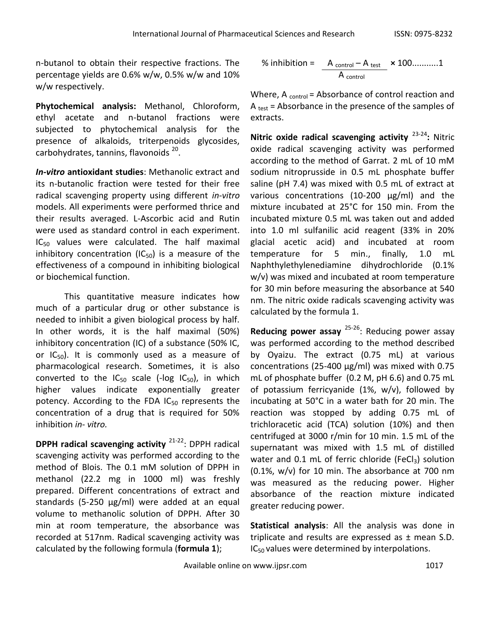n-butanol to obtain their respective fractions. The percentage yields are 0.6% w/w, 0.5% w/w and 10% w/w respectively.

**Phytochemical analysis:** Methanol, Chloroform, ethyl acetate and n-butanol fractions were subjected to phytochemical analysis for the presence of alkaloids, triterpenoids glycosides, carbohydrates, tannins, flavonoids <sup>20</sup>.

*In-vitro* **antioxidant studies**: Methanolic extract and its n-butanolic fraction were tested for their free radical scavenging property using different *in-vitro* models. All experiments were performed thrice and their results averaged. L-Ascorbic acid and Rutin were used as standard control in each experiment.  $IC_{50}$  values were calculated. The half maximal inhibitory concentration (IC $_{50}$ ) is a measure of the effectiveness of a compound in inhibiting biological or biochemical function.

This quantitative measure indicates how much of a particular drug or other substance is needed to inhibit a given biological process by half. In other words, it is the half maximal (50%) inhibitory concentration (IC) of a substance (50% IC, or  $IC_{50}$ ). It is commonly used as a measure of pharmacological research. Sometimes, it is also converted to the  $IC_{50}$  scale (-log  $IC_{50}$ ), in which higher values indicate exponentially greater potency. According to the FDA  $IC_{50}$  represents the concentration of a drug that is required for 50% inhibition *in- vitro.*

**DPPH radical scavenging activity** <sup>21-22</sup>: DPPH radical scavenging activity was performed according to the method of Blois. The 0.1 mM solution of DPPH in methanol (22.2 mg in 1000 ml) was freshly prepared. Different concentrations of extract and standards (5-250 µg/ml) were added at an equal volume to methanolic solution of DPPH. After 30 min at room temperature, the absorbance was recorded at 517nm. Radical scavenging activity was calculated by the following formula (**formula 1**);

% inhibition = 
$$
\frac{A_{\text{control}} - A_{\text{test}}}{A_{\text{control}}}
$$
 × 100............1

Where,  $A_{control}$  = Absorbance of control reaction and A  $_{test}$  = Absorbance in the presence of the samples of extracts.

**Nitric oxide radical scavenging activity** 23-24**:** Nitric oxide radical scavenging activity was performed according to the method of Garrat. 2 mL of 10 mM sodium nitroprusside in 0.5 mL phosphate buffer saline (pH 7.4) was mixed with 0.5 mL of extract at various concentrations (10-200 µg/ml) and the mixture incubated at 25°C for 150 min. From the incubated mixture 0.5 mL was taken out and added into 1.0 ml sulfanilic acid reagent (33% in 20% glacial acetic acid) and incubated at room temperature for 5 min., finally, 1.0 mL Naphthylethylenediamine dihydrochloride (0.1% w/v) was mixed and incubated at room temperature for 30 min before measuring the absorbance at 540 nm. The nitric oxide radicals scavenging activity was calculated by the formula 1.

Reducing power assay <sup>25-26</sup>: Reducing power assay was performed according to the method described by Oyaizu. The extract (0.75 mL) at various concentrations (25-400 µg/ml) was mixed with 0.75 mL of phosphate buffer (0.2 M, pH 6.6) and 0.75 mL of potassium ferricyanide (1%, w/v), followed by incubating at 50°C in a water bath for 20 min. The reaction was stopped by adding 0.75 mL of trichloracetic acid (TCA) solution (10%) and then centrifuged at 3000 r/min for 10 min. 1.5 mL of the supernatant was mixed with 1.5 mL of distilled water and 0.1 mL of ferric chloride (FeCl<sub>3</sub>) solution (0.1%, w/v) for 10 min. The absorbance at 700 nm was measured as the reducing power. Higher absorbance of the reaction mixture indicated greater reducing power.

**Statistical analysis**: All the analysis was done in triplicate and results are expressed as  $\pm$  mean S.D. IC<sub>50</sub> values were determined by interpolations.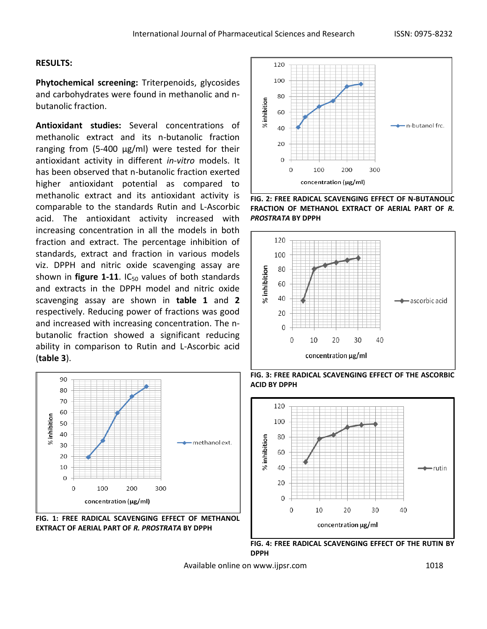### **RESULTS:**

**Phytochemical screening:** Triterpenoids, glycosides and carbohydrates were found in methanolic and nbutanolic fraction.

**Antioxidant studies:** Several concentrations of methanolic extract and its n-butanolic fraction ranging from (5-400 µg/ml) were tested for their antioxidant activity in different *in-vitro* models. It has been observed that n-butanolic fraction exerted higher antioxidant potential as compared to methanolic extract and its antioxidant activity is comparable to the standards Rutin and L-Ascorbic acid. The antioxidant activity increased with increasing concentration in all the models in both fraction and extract. The percentage inhibition of standards, extract and fraction in various models viz. DPPH and nitric oxide scavenging assay are shown in **figure 1-11**.  $IC_{50}$  values of both standards and extracts in the DPPH model and nitric oxide scavenging assay are shown in **table 1** and **2** respectively. Reducing power of fractions was good and increased with increasing concentration. The nbutanolic fraction showed a significant reducing ability in comparison to Rutin and L-Ascorbic acid (**table 3**).



**FIG. 1: FREE RADICAL SCAVENGING EFFECT OF METHANOL EXTRACT OF AERIAL PART OF** *R. PROSTRATA* **BY DPPH**



**FIG. 2: FREE RADICAL SCAVENGING EFFECT OF N-BUTANOLIC FRACTION OF METHANOL EXTRACT OF AERIAL PART OF** *R. PROSTRATA* **BY DPPH**



**FIG. 3: FREE RADICAL SCAVENGING EFFECT OF THE ASCORBIC ACID BY DPPH**



**FIG. 4: FREE RADICAL SCAVENGING EFFECT OF THE RUTIN BY DPPH**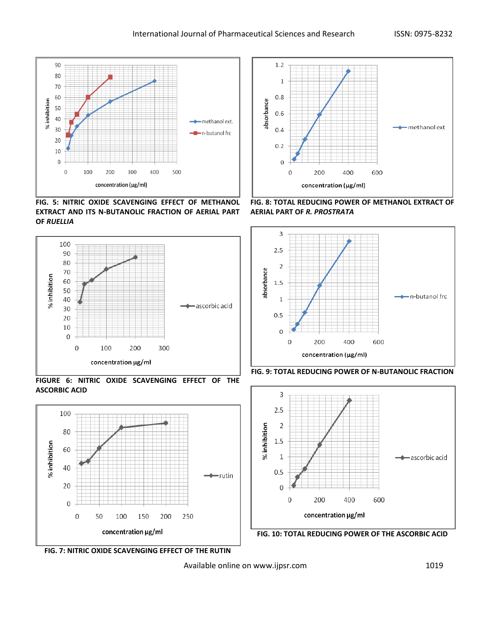

**FIG. 5: NITRIC OXIDE SCAVENGING EFFECT OF METHANOL EXTRACT AND ITS N-BUTANOLIC FRACTION OF AERIAL PART OF** *RUELLIA*



**FIGURE 6: NITRIC OXIDE SCAVENGING EFFECT OF THE ASCORBIC ACID**





**FIG. 8: TOTAL REDUCING POWER OF METHANOL EXTRACT OF AERIAL PART OF** *R. PROSTRATA*









**FIG. 7: NITRIC OXIDE SCAVENGING EFFECT OF THE RUTIN**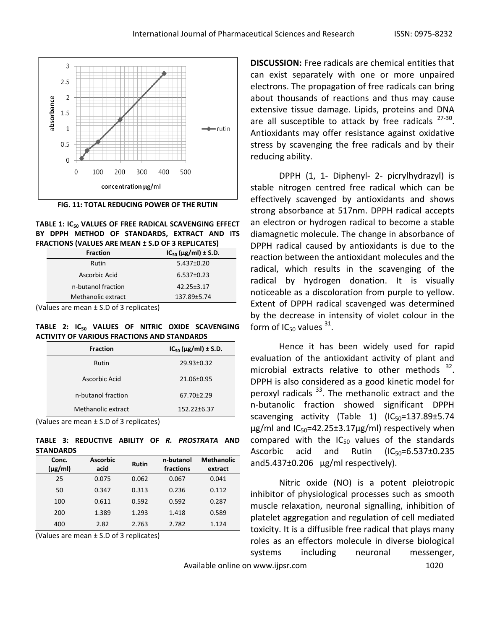

**FIG. 11: TOTAL REDUCING POWER OF THE RUTIN**



| <b>Fraction</b>    | $IC_{50} (\mu g/ml) \pm S.D.$ |  |  |  |  |
|--------------------|-------------------------------|--|--|--|--|
| Rutin              | $5.437\pm0.20$                |  |  |  |  |
| Ascorbic Acid      | $6.537 \pm 0.23$              |  |  |  |  |
| n-butanol fraction | $42.25 \pm 3.17$              |  |  |  |  |
| Methanolic extract | 137.89±5.74                   |  |  |  |  |

(Values are mean ± S.D of 3 replicates)

**TABLE 2: IC<sup>50</sup> VALUES OF NITRIC OXIDE SCAVENGING ACTIVITY OF VARIOUS FRACTIONS AND STANDARDS**

| <b>Fraction</b>    | $IC_{50} (\mu g/ml) \pm S.D.$ |  |
|--------------------|-------------------------------|--|
| Rutin              | $29.93 \pm 0.32$              |  |
| Ascorbic Acid      | $21.06 \pm 0.95$              |  |
| n-butanol fraction | $67.70 \pm 2.29$              |  |
| Methanolic extract | $152.22 \pm 6.37$             |  |

(Values are mean ± S.D of 3 replicates)

**TABLE 3: REDUCTIVE ABILITY OF** *R. PROSTRATA* **AND STANDARDS**

| Conc.<br>$(\mu g/ml)$ | <b>Ascorbic</b><br>acid | <b>Rutin</b> | n-butanol<br>fractions | <b>Methanolic</b><br>extract |
|-----------------------|-------------------------|--------------|------------------------|------------------------------|
| 25                    | 0.075                   | 0.062        | 0.067                  | 0.041                        |
| 50                    | 0.347                   | 0.313        | 0.236                  | 0.112                        |
| 100                   | 0.611                   | 0.592        | 0.592                  | 0.287                        |
| 200                   | 1.389                   | 1.293        | 1.418                  | 0.589                        |
| 400                   | 2.82                    | 2.763        | 2.782                  | 1.124                        |

(Values are mean ± S.D of 3 replicates)

**DISCUSSION:** Free radicals are chemical entities that can exist separately with one or more unpaired electrons. The propagation of free radicals can bring about thousands of reactions and thus may cause extensive tissue damage. Lipids, proteins and DNA are all susceptible to attack by free radicals  $27-30$ . Antioxidants may offer resistance against oxidative stress by scavenging the free radicals and by their reducing ability.

DPPH (1, 1- Diphenyl- 2- picrylhydrazyl) is stable nitrogen centred free radical which can be effectively scavenged by antioxidants and shows strong absorbance at 517nm. DPPH radical accepts an electron or hydrogen radical to become a stable diamagnetic molecule. The change in absorbance of DPPH radical caused by antioxidants is due to the reaction between the antioxidant molecules and the radical, which results in the scavenging of the radical by hydrogen donation. It is visually noticeable as a discoloration from purple to yellow. Extent of DPPH radical scavenged was determined by the decrease in intensity of violet colour in the form of IC<sub>50</sub> values  $31$ .

Hence it has been widely used for rapid evaluation of the antioxidant activity of plant and microbial extracts relative to other methods  $32$ . DPPH is also considered as a good kinetic model for peroxyl radicals  $33$ . The methanolic extract and the n-butanolic fraction showed significant DPPH scavenging activity (Table 1)  $(IC_{50}=137.89\pm5.74$  $\mu$ g/ml and IC<sub>50</sub>=42.25±3.17 $\mu$ g/ml) respectively when compared with the  $IC_{50}$  values of the standards Ascorbic acid and Rutin  $(IC_{50}=6.537\pm0.235)$ and  $5.437\pm0.206$  µg/ml respectively).

Nitric oxide (NO) is a potent pleiotropic inhibitor of physiological processes such as smooth muscle relaxation, neuronal signalling, inhibition of platelet aggregation and regulation of cell mediated toxicity. It is a diffusible free radical that plays many roles as an effectors molecule in diverse biological systems including neuronal messenger,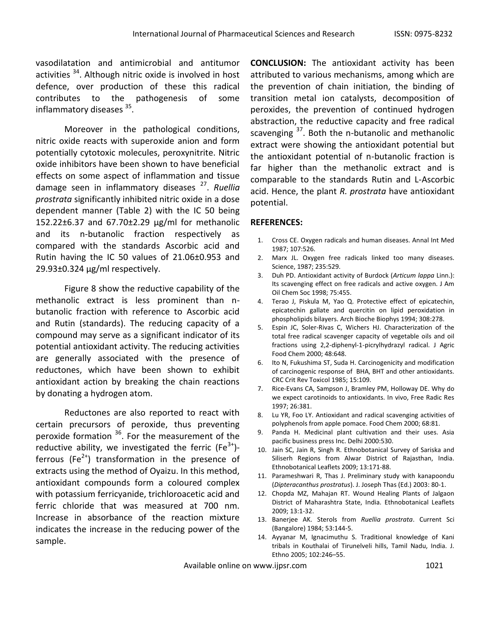vasodilatation and antimicrobial and antitumor activities <sup>34</sup>. Although nitric oxide is involved in host defence, over production of these this radical contributes to the pathogenesis of some inflammatory diseases <sup>35</sup>.

Moreover in the pathological conditions, nitric oxide reacts with superoxide anion and form potentially cytotoxic molecules, peroxynitrite. Nitric oxide inhibitors have been shown to have beneficial effects on some aspect of inflammation and tissue damage seen in inflammatory diseases <sup>27</sup> . *Ruellia prostrata* significantly inhibited nitric oxide in a dose dependent manner (Table 2) with the IC 50 being 152.22±6.37 and 67.70±2.29 µg/ml for methanolic and its n-butanolic fraction respectively as compared with the standards Ascorbic acid and Rutin having the IC 50 values of 21.06±0.953 and  $29.93\pm0.324$  µg/ml respectively.

Figure 8 show the reductive capability of the methanolic extract is less prominent than nbutanolic fraction with reference to Ascorbic acid and Rutin (standards). The reducing capacity of a compound may serve as a significant indicator of its potential antioxidant activity. The reducing activities are generally associated with the presence of reductones, which have been shown to exhibit antioxidant action by breaking the chain reactions by donating a hydrogen atom.

Reductones are also reported to react with certain precursors of peroxide, thus preventing peroxide formation <sup>36</sup>. For the measurement of the reductive ability, we investigated the ferric (Fe<sup>3+</sup>)ferrous (Fe<sup>2+</sup>) transformation in the presence of extracts using the method of Oyaizu. In this method, antioxidant compounds form a coloured complex with potassium ferricyanide, trichloroacetic acid and ferric chloride that was measured at 700 nm. Increase in absorbance of the reaction mixture indicates the increase in the reducing power of the sample.

**CONCLUSION:** The antioxidant activity has been attributed to various mechanisms, among which are the prevention of chain initiation, the binding of transition metal ion catalysts, decomposition of peroxides, the prevention of continued hydrogen abstraction, the reductive capacity and free radical scavenging <sup>37</sup>. Both the n-butanolic and methanolic extract were showing the antioxidant potential but the antioxidant potential of n-butanolic fraction is far higher than the methanolic extract and is comparable to the standards Rutin and L-Ascorbic acid. Hence, the plant *R. prostrata* have antioxidant potential.

### **REFERENCES:**

- 1. Cross CE. Oxygen radicals and human diseases. Annal Int Med 1987; 107:526.
- 2. Marx JL. Oxygen free radicals linked too many diseases. Science, 1987; 235:529.
- 3. Duh PD. Antioxidant activity of Burdock (*Articum lappa* Linn.): Its scavenging effect on free radicals and active oxygen. J Am Oil Chem Soc 1998; 75:455.
- 4. Terao J, Piskula M, Yao Q. Protective effect of epicatechin, epicatechin gallate and quercitin on lipid peroxidation in phospholipids bilayers. Arch Bioche Biophys 1994; 308:278.
- 5. Espin JC, Soler-Rivas C, Wichers HJ. Characterization of the total free radical scavenger capacity of vegetable oils and oil fractions using 2,2-diphenyl-1-picrylhydrazyl radical. J Agric Food Chem 2000; 48:648.
- 6. Ito N, Fukushima ST, Suda H. Carcinogenicity and modification of carcinogenic response of BHA, BHT and other antioxidants. CRC Crit Rev Toxicol 1985; 15:109.
- 7. Rice-Evans CA, Sampson J, Bramley PM, Holloway DE. Why do we expect carotinoids to antioxidants. In vivo, Free Radic Res 1997; 26:381.
- 8. Lu YR, Foo LY. Antioxidant and radical scavenging activities of polyphenols from apple pomace. Food Chem 2000; 68:81.
- 9. Panda H. Medicinal plant cultivation and their uses. Asia pacific business press Inc. Delhi 2000:530.
- 10. Jain SC, Jain R, Singh R. Ethnobotanical Survey of Sariska and Siliserh Regions from Alwar District of Rajasthan, India. Ethnobotanical Leaflets 2009; 13:171-88.
- 11. Parameshwari R, Thas J. Preliminary study with kanapoondu (*Dipteracanthus prostratus*). J. Joseph Thas (Ed.) 2003: 80-1.
- 12. Chopda MZ, Mahajan RT. Wound Healing Plants of Jalgaon District of Maharashtra State, India. Ethnobotanical Leaflets 2009; 13:1-32.
- 13. Banerjee AK. Sterols from *Ruellia prostrata*. Current Sci (Bangalore) 1984; 53:144-5.
- 14. Ayyanar M, Ignacimuthu S. Traditional knowledge of Kani tribals in Kouthalai of Tirunelveli hills, Tamil Nadu, India. J. Ethno 2005; 102:246–55.